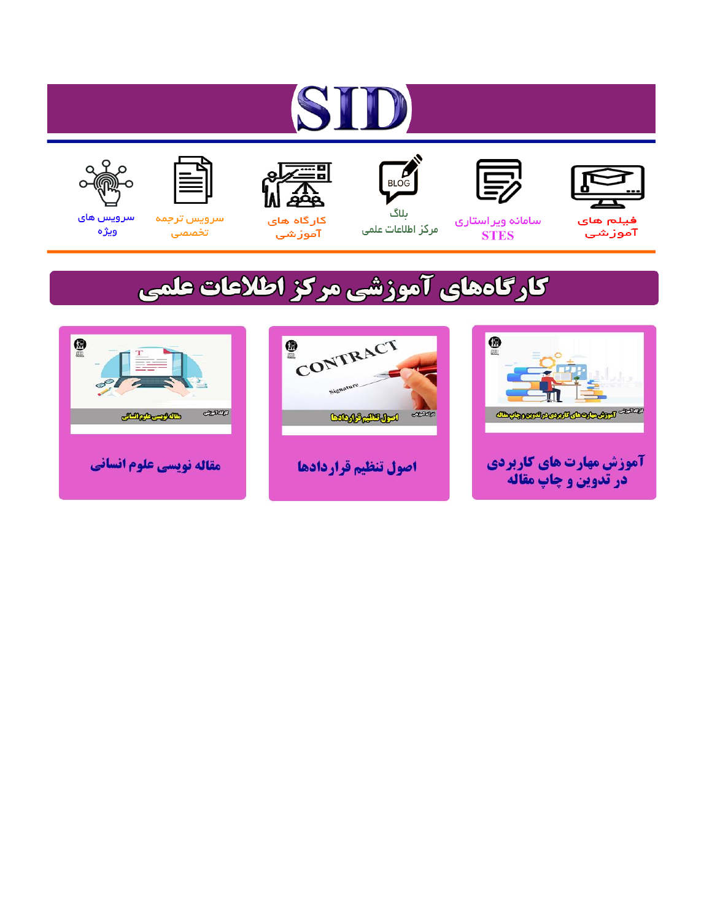# ST









#### سامائه ويراستاري **STES**



ىلاگ مرکز اطلاعات علمی



ققق کارگاه های

آموزشي

空



تخصصى

سرویس های ويژه

### كارگاههای آموزشی مركز اطلاعات علمی





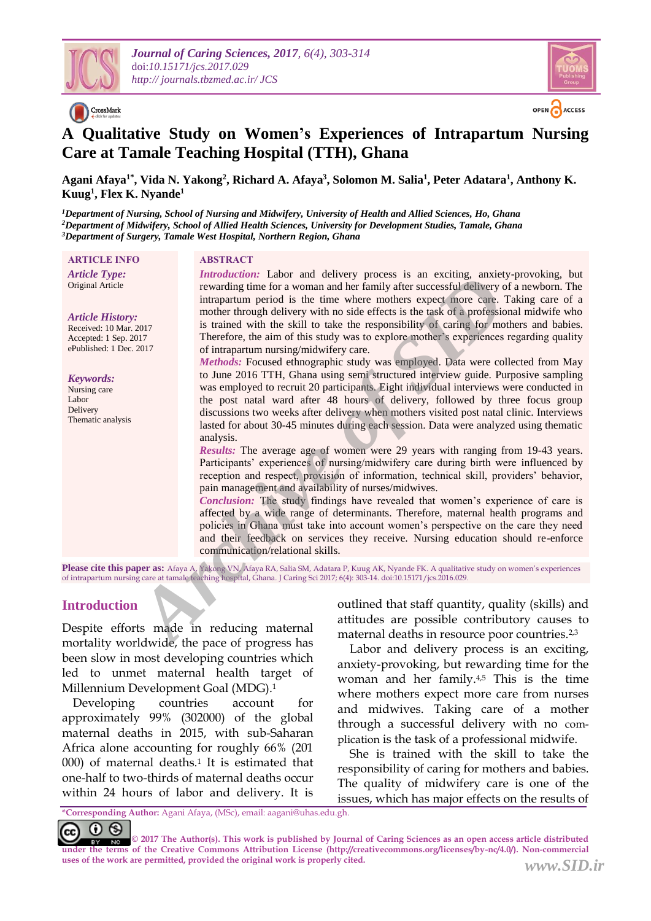

CrossMark



### **A Qualitative Study on Women's Experiences of Intrapartum Nursing Care at Tamale Teaching Hospital (TTH), Ghana**

**Agani Afaya1\* , Vida N. Yakong<sup>2</sup> , Richard A. Afaya<sup>3</sup> , Solomon M. Salia<sup>1</sup> , Peter Adatara<sup>1</sup> , Anthony K. Kuug<sup>1</sup> , Flex K. Nyande<sup>1</sup>**

*<sup>1</sup>Department of Nursing, School of Nursing and Midwifery, University of Health and Allied Sciences, Ho, Ghana <sup>2</sup>Department of Midwifery, School of Allied Health Sciences, University for Development Studies, Tamale, Ghana <sup>3</sup>Department of Surgery, Tamale West Hospital, Northern Region, Ghana*

#### **ARTICLE INFO ABSTRACT**

*Article Type:* Original Article

#### *Article History:*

Received: 10 Mar. 2017 Accepted: 1 Sep. 2017 ePublished: 1 Dec. 2017

#### *Keywords:*

Nursing care Labor Delivery Thematic analysis

*Introduction:* Labor and delivery process is an exciting, anxiety-provoking, but rewarding time for a woman and her family after successful delivery of a newborn. The intrapartum period is the time where mothers expect more care. Taking care of a mother through delivery with no side effects is the task of a professional midwife who is trained with the skill to take the responsibility of caring for mothers and babies. Therefore, the aim of this study was to explore mother's experiences regarding quality of intrapartum nursing/midwifery care.

*Methods:* Focused ethnographic study was employed. Data were collected from May to June 2016 TTH, Ghana using semi structured interview guide. Purposive sampling was employed to recruit 20 participants. Eight individual interviews were conducted in the post natal ward after 48 hours of delivery, followed by three focus group discussions two weeks after delivery when mothers visited post natal clinic. Interviews lasted for about 30-45 minutes during each session. Data were analyzed using thematic analysis. *Arrowatelnoin:* Laonor and exterty process is an excelled the resolution and their mean density and the station and the station of its translation provide the station of its translation of the station of this station of t

*Results:* The average age of women were 29 years with ranging from 19-43 years. Participants' experiences of nursing/midwifery care during birth were influenced by reception and respect, provision of information, technical skill, providers' behavior, pain management and availability of nurses/midwives.

*Conclusion:* The study findings have revealed that women's experience of care is affected by a wide range of determinants. Therefore, maternal health programs and policies in Ghana must take into account women's perspective on the care they need and their feedback on services they receive. Nursing education should re-enforce communication/relational skills.

**Please cite this paper as:** Afaya A, Yakong VN, Afaya RA, Salia SM, Adatara P, Kuug AK, Nyande FK. A qualitative study on women's experiences of intrapartum nursing care at tamale teaching hospital, Ghana. J Caring Sci 2017; 6(4): 303-14. doi:10.15171/jcs.2016.029.

#### **Introduction**

Despite efforts made in reducing maternal mortality worldwide, the pace of progress has been slow in most developing countries which led to unmet maternal health target of Millennium Development Goal (MDG). 1

 Developing countries account for approximately 99% (302000) of the global maternal deaths in 2015, with sub-Saharan Africa alone accounting for roughly 66% (201 000) of maternal deaths.<sup>1</sup> It is estimated that one-half to two-thirds of maternal deaths occur within 24 hours of labor and delivery. It is outlined that staff quantity, quality (skills) and attitudes are possible contributory causes to maternal deaths in resource poor countries.2,3

 Labor and delivery process is an exciting, anxiety-provoking, but rewarding time for the woman and her family.<sup>4,5</sup> This is the time where mothers expect more care from nurses and midwives. Taking care of a mother through a successful delivery with no complication is the task of a professional midwife.

 She is trained with the skill to take the responsibility of caring for mothers and babies. The quality of midwifery care is one of the issues, which has major effects on the results of

**<sup>\*</sup>Corresponding Author:** Agani Afaya, (MSc), email: aagani@uhas.edu.gh.

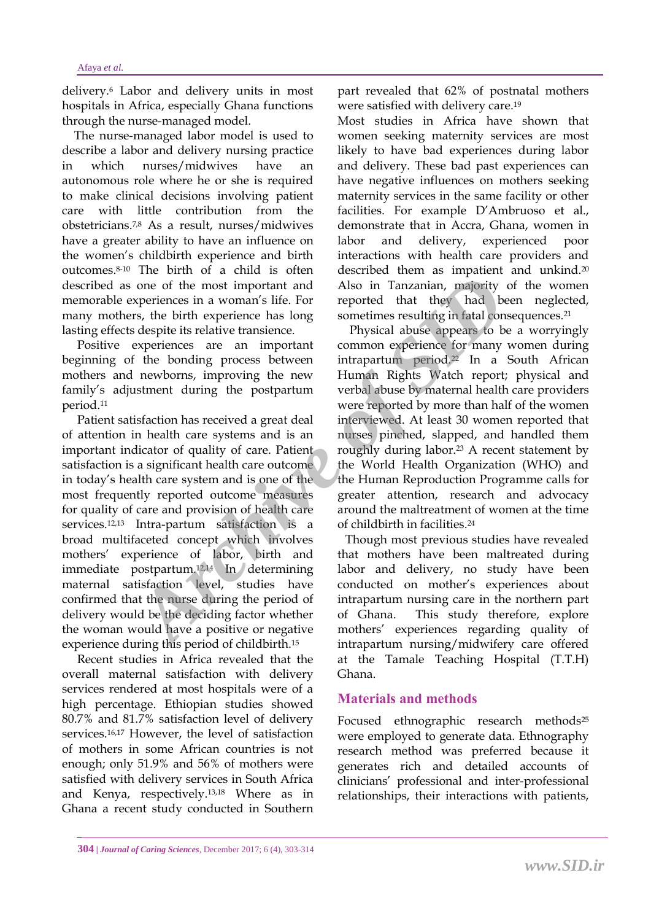delivery.<sup>6</sup> Labor and delivery units in most hospitals in Africa, especially Ghana functions through the nurse-managed model.

 The nurse-managed labor model is used to describe a labor and delivery nursing practice in which nurses/midwives have autonomous role where he or she is required to make clinical decisions involving patient care with little contribution from the obstetricians.7,8 As a result, nurses/midwives have a greater ability to have an influence on the women's childbirth experience and birth outcomes. 8-10 The birth of a child is often described as one of the most important and memorable experiences in a woman's life. For many mothers, the birth experience has long lasting effects despite its relative transience.

 Positive experiences are an important beginning of the bonding process between mothers and newborns, improving the new family's adjustment during the postpartum period.<sup>11</sup>

 Patient satisfaction has received a great deal of attention in health care systems and is an important indicator of quality of care. Patient satisfaction is a significant health care outcome in today's health care system and is one of the most frequently reported outcome measures for quality of care and provision of health care services.12,13 Intra-partum satisfaction is a broad multifaceted concept which involves mothers' experience of labor, birth and immediate postpartum.12,14 In determining maternal satisfaction level, studies have confirmed that the nurse during the period of delivery would be the deciding factor whether the woman would have a positive or negative experience during this period of childbirth.<sup>15</sup> From the transfer that the content is the best that they had the content is a designities in a woman's life. For reported that they had by speriences in a woman's life. For reported that they had by despite its pelopic is

 Recent studies in Africa revealed that the overall maternal satisfaction with delivery services rendered at most hospitals were of a high percentage. Ethiopian studies showed 80.7% and 81.7% satisfaction level of delivery services.16,17 However, the level of satisfaction of mothers in some African countries is not enough; only 51.9% and 56% of mothers were satisfied with delivery services in South Africa and Kenya, respectively.13,18 Where as in Ghana a recent study conducted in Southern part revealed that 62% of postnatal mothers were satisfied with delivery care.<sup>19</sup>

Most studies in Africa have shown that women seeking maternity services are most likely to have bad experiences during labor and delivery. These bad past experiences can have negative influences on mothers seeking maternity services in the same facility or other facilities. For example D'Ambruoso et al., demonstrate that in Accra, Ghana, women in labor and delivery, experienced poor interactions with health care providers and described them as impatient and unkind.<sup>20</sup> Also in Tanzanian, majority of the women reported that they had been neglected, sometimes resulting in fatal consequences.<sup>21</sup>

 Physical abuse appears to be a worryingly common experience for many women during intrapartum period. <sup>22</sup> In a South African Human Rights Watch report; physical and verbal abuse by maternal health care providers were reported by more than half of the women interviewed. At least 30 women reported that nurses pinched, slapped, and handled them roughly during labor.<sup>23</sup> A recent statement by the World Health Organization (WHO) and the Human Reproduction Programme calls for greater attention, research and advocacy around the maltreatment of women at the time of childbirth in facilities.<sup>24</sup>

 Though most previous studies have revealed that mothers have been maltreated during labor and delivery, no study have been conducted on mother's experiences about intrapartum nursing care in the northern part of Ghana. This study therefore, explore mothers' experiences regarding quality of intrapartum nursing/midwifery care offered at the Tamale Teaching Hospital (T.T.H) Ghana.

#### **Materials and methods**

Focused ethnographic research methods<sup>25</sup> were employed to generate data. Ethnography research method was preferred because it generates rich and detailed accounts of clinicians' professional and inter-professional relationships, their interactions with patients,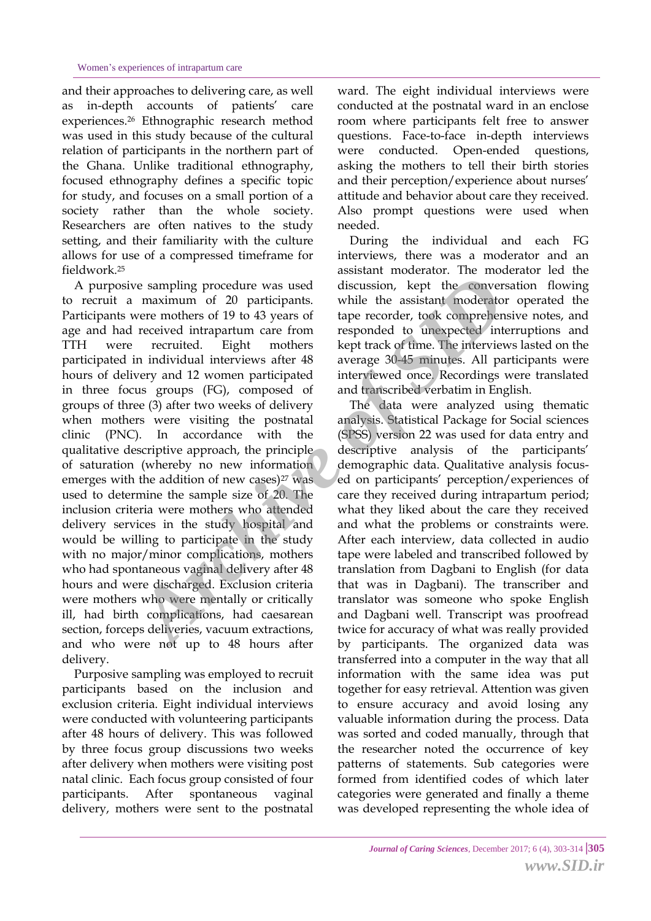and their approaches to delivering care, as well as in-depth accounts of patients' care experiences.<sup>26</sup> Ethnographic research method was used in this study because of the cultural relation of participants in the northern part of the Ghana. Unlike traditional ethnography, focused ethnography defines a specific topic for study, and focuses on a small portion of a society rather than the whole society. Researchers are often natives to the study setting, and their familiarity with the culture allows for use of a compressed timeframe for fieldwork.<sup>25</sup>

 A purposive sampling procedure was used to recruit a maximum of 20 participants. Participants were mothers of 19 to 43 years of age and had received intrapartum care from TTH were recruited. Eight mothers participated in individual interviews after 48 hours of delivery and 12 women participated in three focus groups (FG), composed of groups of three (3) after two weeks of delivery when mothers were visiting the postnatal clinic (PNC). In accordance with the qualitative descriptive approach, the principle of saturation (whereby no new information emerges with the addition of new cases) $27$  was used to determine the sample size of 20. The inclusion criteria were mothers who attended delivery services in the study hospital and would be willing to participate in the study with no major/minor complications, mothers who had spontaneous vaginal delivery after 48 hours and were discharged. Exclusion criteria were mothers who were mentally or critically ill, had birth complications, had caesarean section, forceps deliveries, vacuum extractions, and who were not up to 48 hours after delivery. *Archive Sampling procedure was used*<br> *Archive and*<br> *Archive and the sasistant moderato were mothers of 91 to 43 years of tape recorder, took comprehence<br>
received intrapartum care from responded to unexpected interview<br>* 

 Purposive sampling was employed to recruit participants based on the inclusion and exclusion criteria. Eight individual interviews were conducted with volunteering participants after 48 hours of delivery. This was followed by three focus group discussions two weeks after delivery when mothers were visiting post natal clinic. Each focus group consisted of four participants. After spontaneous vaginal delivery, mothers were sent to the postnatal ward. The eight individual interviews were conducted at the postnatal ward in an enclose room where participants felt free to answer questions. Face-to-face in-depth interviews were conducted. Open-ended questions, asking the mothers to tell their birth stories and their perception/experience about nurses' attitude and behavior about care they received. Also prompt questions were used when needed.

 During the individual and each FG interviews, there was a moderator and an assistant moderator. The moderator led the discussion, kept the conversation flowing while the assistant moderator operated the tape recorder, took comprehensive notes, and responded to unexpected interruptions and kept track of time. The interviews lasted on the average 30-45 minutes. All participants were interviewed once. Recordings were translated and transcribed verbatim in English.

 The data were analyzed using thematic analysis. Statistical Package for Social sciences (SPSS) version 22 was used for data entry and descriptive analysis of the participants' demographic data. Qualitative analysis focused on participants' perception/experiences of care they received during intrapartum period; what they liked about the care they received and what the problems or constraints were. After each interview, data collected in audio tape were labeled and transcribed followed by translation from Dagbani to English (for data that was in Dagbani). The transcriber and translator was someone who spoke English and Dagbani well. Transcript was proofread twice for accuracy of what was really provided by participants. The organized data was transferred into a computer in the way that all information with the same idea was put together for easy retrieval. Attention was given to ensure accuracy and avoid losing any valuable information during the process. Data was sorted and coded manually, through that the researcher noted the occurrence of key patterns of statements. Sub categories were formed from identified codes of which later categories were generated and finally a theme was developed representing the whole idea of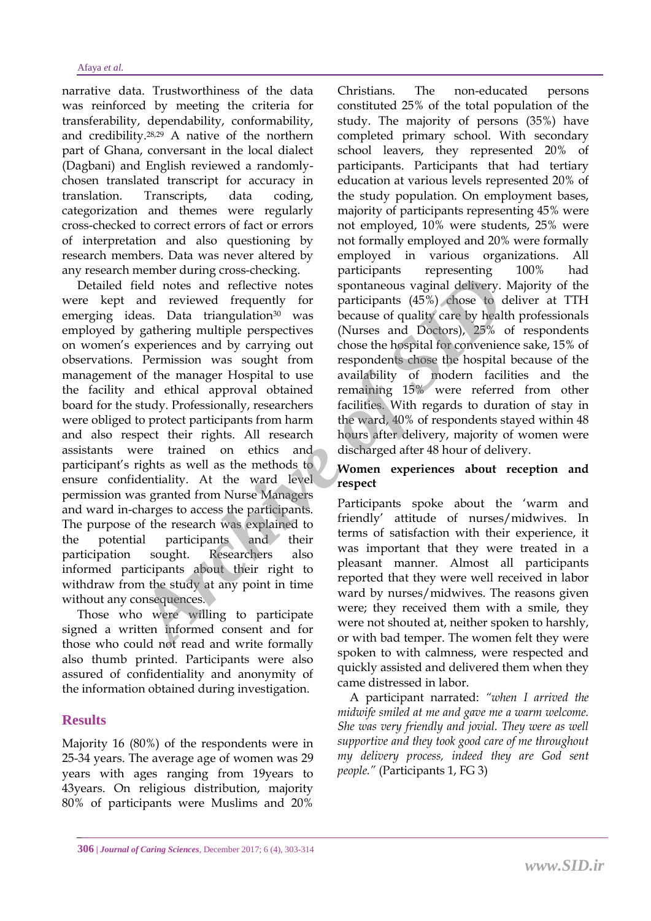narrative data. Trustworthiness of the data was reinforced by meeting the criteria for transferability, dependability, conformability, and credibility.28,29 A native of the northern part of Ghana, conversant in the local dialect (Dagbani) and English reviewed a randomlychosen translated transcript for accuracy in translation. Transcripts, data coding, categorization and themes were regularly cross-checked to correct errors of fact or errors of interpretation and also questioning by research members. Data was never altered by any research member during cross-checking.

 Detailed field notes and reflective notes were kept and reviewed frequently for emerging ideas. Data triangulation<sup>30</sup> was employed by gathering multiple perspectives on women's experiences and by carrying out observations. Permission was sought from management of the manager Hospital to use the facility and ethical approval obtained board for the study. Professionally, researchers were obliged to protect participants from harm and also respect their rights. All research assistants were trained on ethics and participant's rights as well as the methods to ensure confidentiality. At the ward level permission was granted from Nurse Managers and ward in-charges to access the participants. The purpose of the research was explained to the potential participants and their participation sought. Researchers also informed participants about their right to withdraw from the study at any point in time without any consequences. Final denotes and reflective notes spontaneous vaginal delivery.<br>
And reviewed frequently for participants (45%) chose to cleas. Data triangulation<sup>30</sup> was because of quality care by healting multiple perspectives (Nurses

 Those who were willing to participate signed a written informed consent and for those who could not read and write formally also thumb printed. Participants were also assured of confidentiality and anonymity of the information obtained during investigation.

#### **Results**

Majority 16 (80%) of the respondents were in 25-34 years. The average age of women was 29 years with ages ranging from 19years to 43years. On religious distribution, majority 80% of participants were Muslims and 20%

Christians. The non-educated persons constituted 25% of the total population of the study. The majority of persons (35%) have completed primary school. With secondary school leavers, they represented 20% of participants. Participants that had tertiary education at various levels represented 20% of the study population. On employment bases, majority of participants representing 45% were not employed, 10% were students, 25% were not formally employed and 20% were formally employed in various organizations. All participants representing 100% had spontaneous vaginal delivery. Majority of the participants (45%) chose to deliver at TTH because of quality care by health professionals (Nurses and Doctors), 25% of respondents chose the hospital for convenience sake, 15% of respondents chose the hospital because of the availability of modern facilities and the remaining 15% were referred from other facilities. With regards to duration of stay in the ward, 40% of respondents stayed within 48 hours after delivery, majority of women were discharged after 48 hour of delivery.

#### **Women experiences about reception and respect**

Participants spoke about the 'warm and friendly' attitude of nurses/midwives. In terms of satisfaction with their experience, it was important that they were treated in a pleasant manner. Almost all participants reported that they were well received in labor ward by nurses/midwives. The reasons given were; they received them with a smile, they were not shouted at, neither spoken to harshly, or with bad temper. The women felt they were spoken to with calmness, were respected and quickly assisted and delivered them when they came distressed in labor.

 A participant narrated: *"when I arrived the midwife smiled at me and gave me a warm welcome. She was very friendly and jovial. They were as well supportive and they took good care of me throughout my delivery process, indeed they are God sent people."* (Participants 1, FG 3)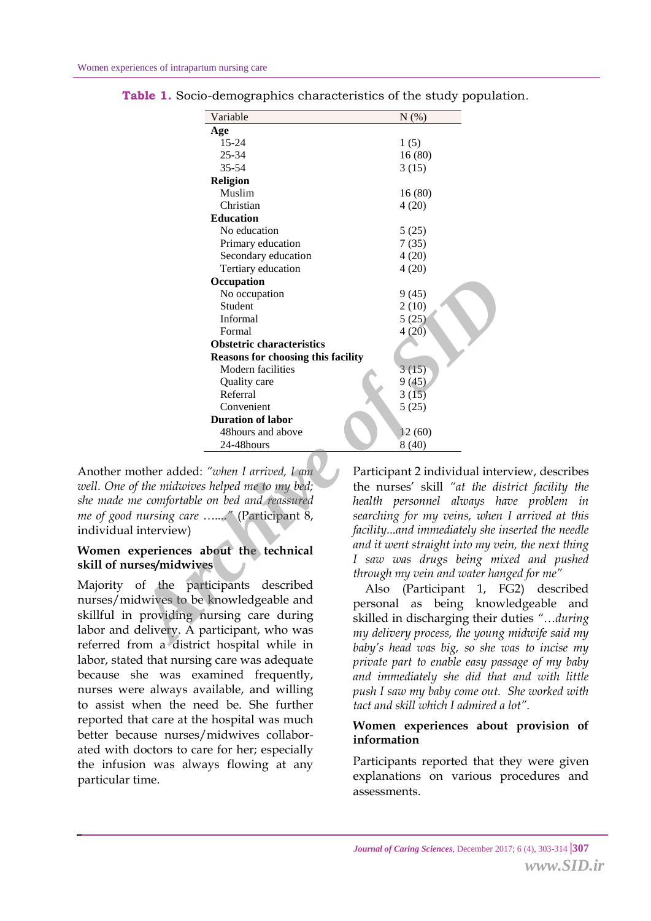| Participant 2 individual inter   |
|----------------------------------|
| the nurses' skill "at the dis    |
| always ha                        |
| searching for my veins, when     |
| facilityand immediately she in   |
|                                  |
| and it went straight into my vei |
| I saw was drugs being mis        |
| through my vein and water han    |
| (Participant 1, $F0$             |
| know                             |
| skilled in discharging their d   |
| my delivery process, the young   |
|                                  |
|                                  |

**Table 1.** Socio-demographics characteristics of the study population*.*

Another mother added: *"when I arrived, I am well. One of the midwives helped me to my bed; she made me comfortable on bed and reassured me of good nursing care …...."* (Participant 8, individual interview)

#### **Women experiences about the technical skill of nurses/midwives**

Majority of the participants described nurses/midwives to be knowledgeable and skillful in providing nursing care during labor and delivery. A participant, who was referred from a district hospital while in labor, stated that nursing care was adequate because she was examined frequently, nurses were always available, and willing to assist when the need be. She further reported that care at the hospital was much better because nurses/midwives collaborated with doctors to care for her; especially the infusion was always flowing at any particular time.

Participant 2 individual interview, describes the nurses' skill *"at the district facility the health personnel always have problem in searching for my veins, when I arrived at this facility...and immediately she inserted the needle and it went straight into my vein, the next thing I saw was drugs being mixed and pushed through my vein and water hanged for me"*

 Also (Participant 1, FG2) described personal as being knowledgeable and skilled in discharging their duties *"…during my delivery process, the young midwife said my baby's head was big, so she was to incise my private part to enable easy passage of my baby and immediately she did that and with little push I saw my baby come out. She worked with tact and skill which I admired a lot".*

#### **Women experiences about provision of information**

Participants reported that they were given explanations on various procedures and assessments.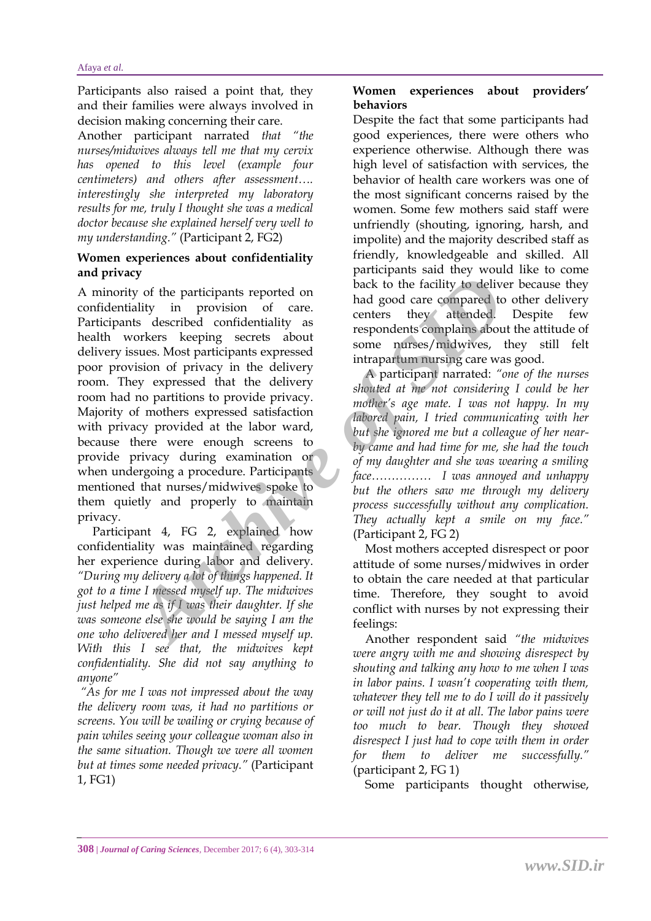Participants also raised a point that, they and their families were always involved in decision making concerning their care.

Another participant narrated *that "the nurses/midwives always tell me that my cervix has opened to this level (example four centimeters) and others after assessment…. interestingly she interpreted my laboratory results for me, truly I thought she was a medical doctor because she explained herself very well to my understanding."* (Participant 2, FG2)

#### **Women experiences about confidentiality and privacy**

A minority of the participants reported on confidentiality in provision of care. Participants described confidentiality as health workers keeping secrets about delivery issues. Most participants expressed poor provision of privacy in the delivery room. They expressed that the delivery room had no partitions to provide privacy. Majority of mothers expressed satisfaction with privacy provided at the labor ward, because there were enough screens to provide privacy during examination or when undergoing a procedure. Participants mentioned that nurses/midwives spoke to them quietly and properly to maintain privacy. **Example 18** and the participants reported on<br>
ality in provision of care.<br>
Archive to the facility to delive<br>
ality in provision of care.<br>
Archive and good care compared to<br>
the ality in provision of care.<br>
Archive is com

 Participant 4, FG 2, explained how confidentiality was maintained regarding her experience during labor and delivery. *"During my delivery a lot of things happened. It got to a time I messed myself up. The midwives just helped me as if I was their daughter. If she was someone else she would be saying I am the one who delivered her and I messed myself up. With this I see that, the midwives kept confidentiality. She did not say anything to anyone"*

*"As for me I was not impressed about the way the delivery room was, it had no partitions or screens. You will be wailing or crying because of pain whiles seeing your colleague woman also in the same situation. Though we were all women but at times some needed privacy."* (Participant 1, FG1)

#### **Women experiences about providers' behaviors**

Despite the fact that some participants had good experiences, there were others who experience otherwise. Although there was high level of satisfaction with services, the behavior of health care workers was one of the most significant concerns raised by the women. Some few mothers said staff were unfriendly (shouting, ignoring, harsh, and impolite) and the majority described staff as friendly, knowledgeable and skilled. All participants said they would like to come back to the facility to deliver because they had good care compared to other delivery centers they attended. Despite few respondents complains about the attitude of some nurses/midwives, they still felt intrapartum nursing care was good.

 A participant narrated: *"one of the nurses shouted at me not considering I could be her mother's age mate. I was not happy. In my labored pain, I tried communicating with her but she ignored me but a colleague of her nearby came and had time for me, she had the touch of my daughter and she was wearing a smiling face…………… I was annoyed and unhappy but the others saw me through my delivery process successfully without any complication. They actually kept a smile on my face."* (Participant 2, FG 2)

 Most mothers accepted disrespect or poor attitude of some nurses/midwives in order to obtain the care needed at that particular time. Therefore, they sought to avoid conflict with nurses by not expressing their feelings:

 Another respondent said *"the midwives were angry with me and showing disrespect by shouting and talking any how to me when I was in labor pains. I wasn't cooperating with them, whatever they tell me to do I will do it passively or will not just do it at all. The labor pains were too much to bear. Though they showed disrespect I just had to cope with them in order for them to deliver me successfully."* (participant 2, FG 1)

Some participants thought otherwise,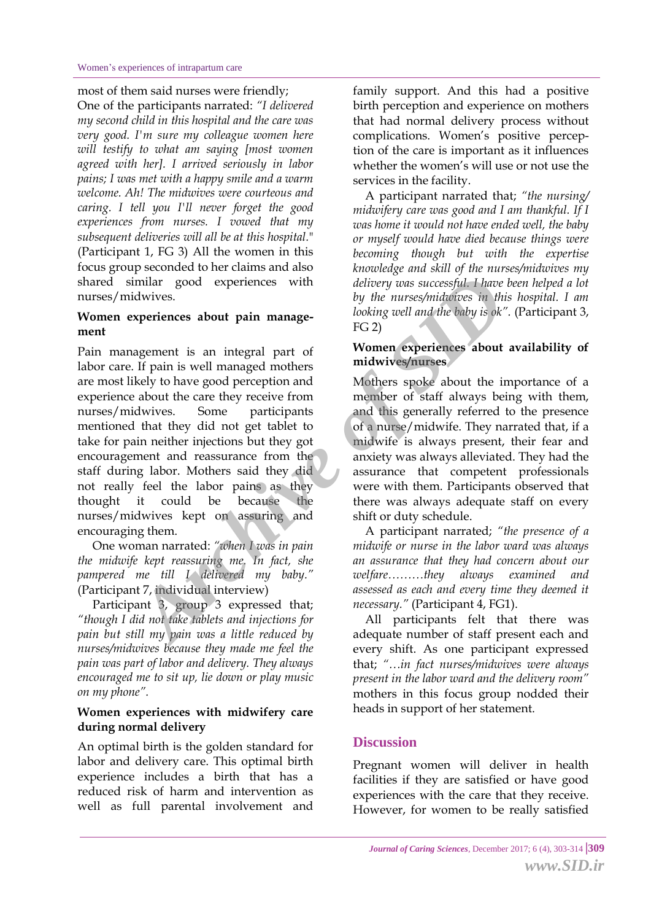#### most of them said nurses were friendly;

One of the participants narrated: *"I delivered my second child in this hospital and the care was very good. I'm sure my colleague women here will testify to what am saying [most women agreed with her]. I arrived seriously in labor pains; I was met with a happy smile and a warm welcome. Ah! The midwives were courteous and caring. I tell you I'll never forget the good experiences from nurses. I vowed that my subsequent deliveries will all be at this hospital.*" (Participant 1, FG 3) All the women in this focus group seconded to her claims and also shared similar good experiences with nurses/midwives.

#### **Women experiences about pain management**

Pain management is an integral part of labor care. If pain is well managed mothers are most likely to have good perception and experience about the care they receive from nurses/midwives. Some participants mentioned that they did not get tablet to take for pain neither injections but they got encouragement and reassurance from the staff during labor. Mothers said they did not really feel the labor pains as they thought it could be because the nurses/midwives kept on assuring and encouraging them. *Archivelia and* the subset of the properties that the till my pain was a little reducing well and the baby is okket about pain and all managed mothers are positions and the baby is okket and the archive of  $\sim$  Moment exp

 One woman narrated: *"when I was in pain the midwife kept reassuring me. In fact, she pampered me till I delivered my baby."* (Participant 7, individual interview)

 Participant 3, group 3 expressed that; *"though I did not take tablets and injections for pain but still my pain was a little reduced by nurses/midwives because they made me feel the pain was part of labor and delivery. They always encouraged me to sit up, lie down or play music on my phone".*

#### **Women experiences with midwifery care during normal delivery**

An optimal birth is the golden standard for labor and delivery care. This optimal birth experience includes a birth that has a reduced risk of harm and intervention as well as full parental involvement and family support. And this had a positive birth perception and experience on mothers that had normal delivery process without complications. Women's positive perception of the care is important as it influences whether the women's will use or not use the services in the facility.

 A participant narrated that; *"the nursing/ midwifery care was good and I am thankful. If I was home it would not have ended well, the baby or myself would have died because things were becoming though but with the expertise knowledge and skill of the nurses/midwives my delivery was successful. I have been helped a lot by the nurses/midwives in this hospital. I am looking well and the baby is ok".* (Participant 3, FG 2)

#### **Women experiences about availability of midwives/nurses**

Mothers spoke about the importance of a member of staff always being with them, and this generally referred to the presence of a nurse/midwife. They narrated that, if a midwife is always present, their fear and anxiety was always alleviated. They had the assurance that competent professionals were with them. Participants observed that there was always adequate staff on every shift or duty schedule.

 A participant narrated; *"the presence of a midwife or nurse in the labor ward was always an assurance that they had concern about our welfare………they always examined and assessed as each and every time they deemed it necessary."* (Participant 4, FG1).

 All participants felt that there was adequate number of staff present each and every shift. As one participant expressed that; *"…in fact nurses/midwives were always present in the labor ward and the delivery room"* mothers in this focus group nodded their heads in support of her statement.

#### **Discussion**

Pregnant women will deliver in health facilities if they are satisfied or have good experiences with the care that they receive. However, for women to be really satisfied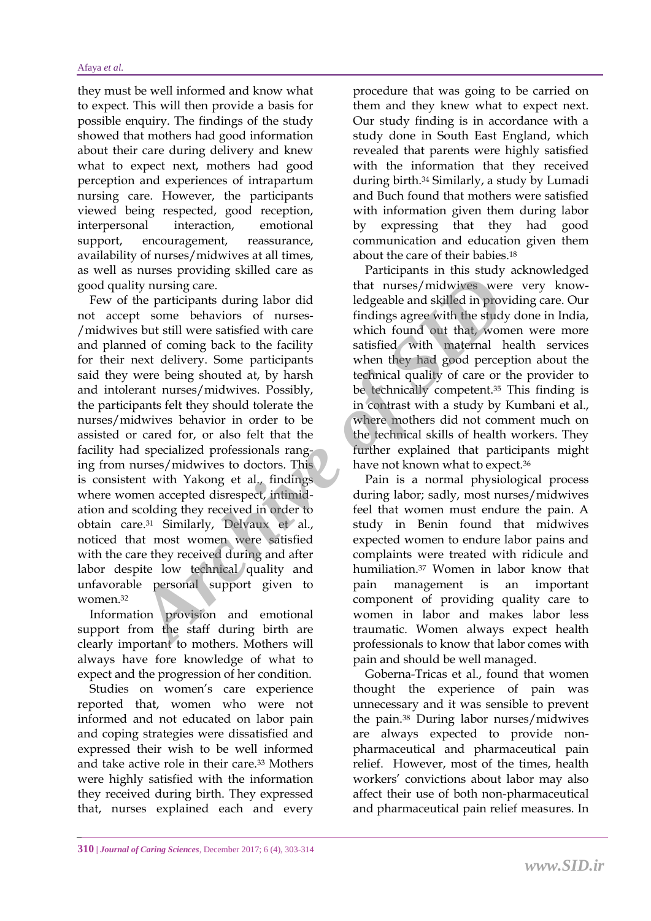they must be well informed and know what to expect. This will then provide a basis for possible enquiry. The findings of the study showed that mothers had good information about their care during delivery and knew what to expect next, mothers had good perception and experiences of intrapartum nursing care. However, the participants viewed being respected, good reception, interpersonal interaction, emotional support, encouragement, reassurance, availability of nurses/midwives at all times, as well as nurses providing skilled care as good quality nursing care.

 Few of the participants during labor did not accept some behaviors of nurses- /midwives but still were satisfied with care and planned of coming back to the facility for their next delivery. Some participants said they were being shouted at, by harsh and intolerant nurses/midwives. Possibly, the participants felt they should tolerate the nurses/midwives behavior in order to be assisted or cared for, or also felt that the facility had specialized professionals ranging from nurses/midwives to doctors. This is consistent with Yakong et al., findings where women accepted disrespect, intimidation and scolding they received in order to obtain care.<sup>31</sup> Similarly, Delvaux et al., noticed that most women were satisfied with the care they received during and after labor despite low technical quality and unfavorable personal support given to women.<sup>32</sup> Figure 2011 and state and the transfer of the participants during labor did ledgeable and skilled in providing the participants during labor did ledgeable and skilled in providing of the set of mings agree with the studio

 Information provision and emotional support from the staff during birth are clearly important to mothers. Mothers will always have fore knowledge of what to expect and the progression of her condition.

 Studies on women's care experience reported that, women who were not informed and not educated on labor pain and coping strategies were dissatisfied and expressed their wish to be well informed and take active role in their care.<sup>33</sup> Mothers were highly satisfied with the information they received during birth. They expressed that, nurses explained each and every procedure that was going to be carried on them and they knew what to expect next. Our study finding is in accordance with a study done in South East England, which revealed that parents were highly satisfied with the information that they received during birth.<sup>34</sup> Similarly, a study by Lumadi and Buch found that mothers were satisfied with information given them during labor by expressing that they had good communication and education given them about the care of their babies.<sup>18</sup>

 Participants in this study acknowledged that nurses/midwives were very knowledgeable and skilled in providing care. Our findings agree with the study done in India, which found out that, women were more satisfied with maternal health services when they had good perception about the technical quality of care or the provider to be technically competent.<sup>35</sup> This finding is in contrast with a study by Kumbani et al., where mothers did not comment much on the technical skills of health workers. They further explained that participants might have not known what to expect.<sup>36</sup>

 Pain is a normal physiological process during labor; sadly, most nurses/midwives feel that women must endure the pain. A study in Benin found that midwives expected women to endure labor pains and complaints were treated with ridicule and humiliation.<sup>37</sup> Women in labor know that pain management is an important component of providing quality care to women in labor and makes labor less traumatic. Women always expect health professionals to know that labor comes with pain and should be well managed.

 Goberna-Tricas et al., found that women thought the experience of pain was unnecessary and it was sensible to prevent the pain.<sup>38</sup> During labor nurses/midwives are always expected to provide nonpharmaceutical and pharmaceutical pain relief. However, most of the times, health workers' convictions about labor may also affect their use of both non-pharmaceutical and pharmaceutical pain relief measures. In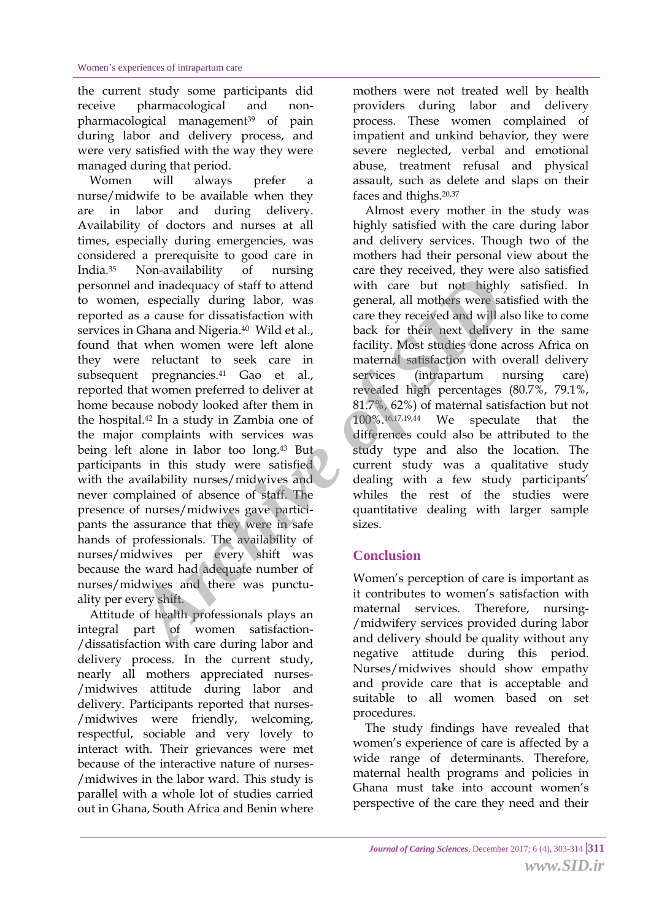the current study some participants did receive pharmacological and nonpharmacological management<sup>39</sup> of pain during labor and delivery process, and were very satisfied with the way they were managed during that period.

 Women will always prefer a nurse/midwife to be available when they are in labor and during delivery. Availability of doctors and nurses at all times, especially during emergencies, was considered a prerequisite to good care in India.<sup>35</sup> Non-availability of nursing personnel and inadequacy of staff to attend to women, especially during labor, was reported as a cause for dissatisfaction with services in Ghana and Nigeria.<sup>40</sup> Wild et al., found that when women were left alone they were reluctant to seek care in subsequent pregnancies.<sup>41</sup> Gao et al., reported that women preferred to deliver at home because nobody looked after them in the hospital.<sup>42</sup> In a study in Zambia one of the major complaints with services was being left alone in labor too long.<sup>43</sup> But participants in this study were satisfied with the availability nurses/midwives and never complained of absence of staff. The presence of nurses/midwives gave participants the assurance that they were in safe hands of professionals. The availability of nurses/midwives per every shift was because the ward had adequate number of nurses/midwives and there was punctuality per every shift. From the material of the material scheme sintation with care but not highly<br>
and indequacy of staff to attend with care they received and will a<br>
Chana and Nigeria.<sup>40</sup> Wild et al.<br>
the the method conduction with care they

 Attitude of health professionals plays an integral part of women satisfaction- /dissatisfaction with care during labor and delivery process. In the current study, nearly all mothers appreciated nurses- /midwives attitude during labor and delivery. Participants reported that nurses- /midwives were friendly, welcoming, respectful, sociable and very lovely to interact with. Their grievances were met because of the interactive nature of nurses- /midwives in the labor ward. This study is parallel with a whole lot of studies carried out in Ghana, South Africa and Benin where

mothers were not treated well by health providers during labor and delivery process. These women complained of impatient and unkind behavior, they were severe neglected, verbal and emotional abuse, treatment refusal and physical assault, such as delete and slaps on their faces and thighs.20,37

 Almost every mother in the study was highly satisfied with the care during labor and delivery services. Though two of the mothers had their personal view about the care they received, they were also satisfied with care but not highly satisfied. In general, all mothers were satisfied with the care they received and will also like to come back for their next delivery in the same facility. Most studies done across Africa on maternal satisfaction with overall delivery services (intrapartum nursing care) revealed high percentages (80.7%, 79.1%, 81.7%, 62%) of maternal satisfaction but not 100%. 16, 17, 19, 44 We speculate that the differences could also be attributed to the study type and also the location. The current study was a qualitative study dealing with a few study participants' whiles the rest of the studies were quantitative dealing with larger sample sizes.

#### **Conclusion**

Women's perception of care is important as it contributes to women's satisfaction with maternal services. Therefore, nursing- /midwifery services provided during labor and delivery should be quality without any negative attitude during this period. Nurses/midwives should show empathy and provide care that is acceptable and suitable to all women based on set procedures.

 The study findings have revealed that women's experience of care is affected by a wide range of determinants. Therefore, maternal health programs and policies in Ghana must take into account women's perspective of the care they need and their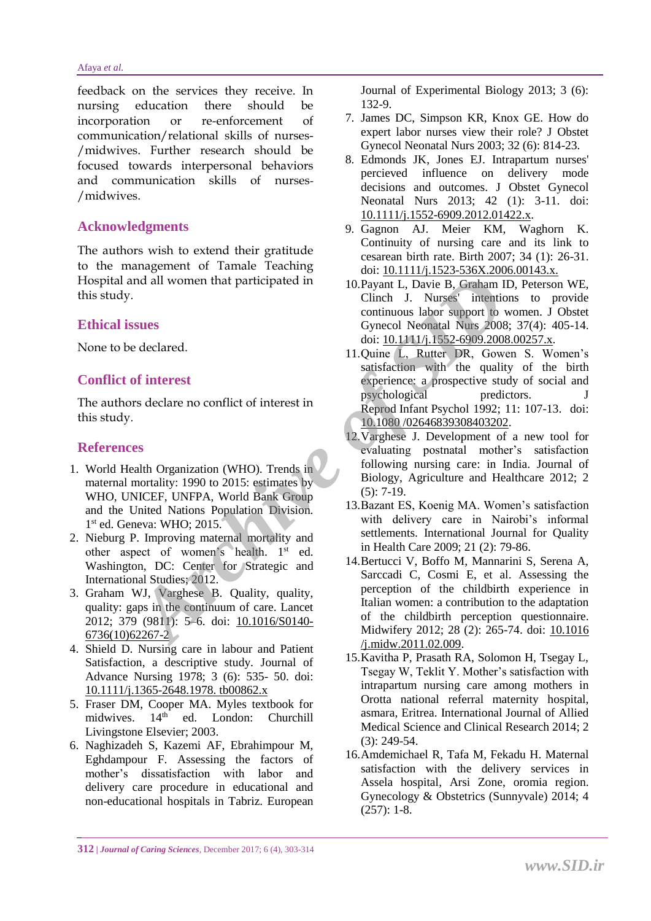#### Afaya *et al.*

feedback on the services they receive. In nursing education there should be incorporation or re-enforcement of communication/relational skills of nurses- /midwives. Further research should be focused towards interpersonal behaviors and communication skills of nurses- /midwives.

#### **Acknowledgments**

The authors wish to extend their gratitude to the management of Tamale Teaching Hospital and all women that participated in this study.

#### **Ethical issues**

None to be declared.

#### **Conflict of interest**

The authors declare no conflict of interest in this study.

#### **References**

- 1. World Health Organization (WHO). Trends in maternal mortality: 1990 to 2015: estimates by WHO, UNICEF, UNFPA, World Bank Group and the United Nations Population Division. 1 st ed. Geneva: WHO; 2015.
- 2. Nieburg P. Improving maternal mortality and other aspect of women's health. 1<sup>st</sup> ed. Washington, DC: Center for Strategic and International Studies; 2012.
- 3. Graham WJ, Varghese B. Quality, quality, quality: gaps in the continuum of care. Lancet 2012; 379 (9811): 5–6. doi: 10.1016/S0140- [6736\(10\)62267-2](http://dox.doi.org/10.1016/S0140-6736(10)62267-2)
- 4. Shield D. Nursing care in labour and Patient Satisfaction, a descriptive study. Journal of Advance Nursing 1978; 3 (6): 535- 50. doi: [10.1111/j.1365-2648.1978. tb00862.x](http://dox.doi.org/10.1111/j.1365-2648.1978.tb00862.x)
- 5. Fraser DM, Cooper MA. Myles textbook for midwives. 14<sup>th</sup> ed. London: Churchill Livingstone Elsevier; 2003.
- 6. Naghizadeh S, Kazemi AF, Ebrahimpour M, Eghdampour F. Assessing the factors of mother's dissatisfaction with labor and delivery care procedure in educational and non-educational hospitals in Tabriz. European

Journal of Experimental Biology 2013; 3 (6): 132-9.

- 7. James DC, Simpson KR, Knox GE. How do expert labor nurses view their role? J Obstet Gynecol Neonatal Nurs 2003; 32 (6): 814-23.
- 8. Edmonds JK, Jones EJ. Intrapartum nurses' percieved influence on delivery mode decisions and outcomes. J Obstet Gynecol Neonatal Nurs 2013; 42 (1): 3-11. doi: [10.1111/j.1552-6909.2012.01422.x.](http://dox.doi.org/10.1111/j.1552-6909.2012.01422.x)
- 9. Gagnon AJ. Meier KM, Waghorn K. Continuity of nursing care and its link to cesarean birth rate. Birth 2007; 34 (1): 26-31. doi: [10.1111/j.1523-536X.2006.00143.x.](http://dox.doi.org/10.1111/j.1523-536X.2006.00143.x.)
- 10.Payant L, Davie B, Graham ID, Peterson WE, Clinch J. Nurses' intentions to provide continuous labor support to women. J Obstet Gynecol Neonatal Nurs 2008; 37(4): 405-14. doi: [10.1111/j.1552-6909.2008.00257.x.](http://dox.doi.org/10.1111/j.1552-6909.2008.00257.x)
- 11.Quine L, Rutter DR, Gowen S. Women's satisfaction with the quality of the birth experience: a prospective study of social and psychological predictors. J Reprod Infant Psychol 1992; 11: 107-13. doi: 10.1080 /02646839308403202.
- 12.Varghese J. Development of a new tool for evaluating postnatal mother's satisfaction following nursing care: in India. Journal of Biology, Agriculture and Healthcare 2012; 2  $(5): 7-19.$
- 13.Bazant ES, Koenig MA. Women's satisfaction with delivery care in Nairobi's informal settlements. International Journal for Quality in Health Care 2009; 21 (2): 79-86.
- 14.Bertucci V, Boffo M, Mannarini S, Serena A, Sarccadi C, Cosmi E, et al. Assessing the perception of the childbirth experience in Italian women: a contribution to the adaptation of the childbirth perception questionnaire. Midwifery 2012; 28 (2): 265-74. doi: [10.1016](http://dox.doi.org/10.1016/j.midw.2011.02.009) /j.midw.2011.02.009. **Archive Consumer States [of](http://dox.doi.org/10.1080/02646839308403202)**<br> **Archive Consumption Consumption**<br> **Archive Consumption**<br> **Archive Consumption**<br> **Archive Consumption**<br> **Archive Consumption**<br> **Archive Consumption**<br> **Archive Consumption**<br> **Archive Consumptio** 
	- 15.Kavitha P, Prasath RA, Solomon H, Tsegay L, Tsegay W, Teklit Y. Mother's satisfaction with intrapartum nursing care among mothers in Orotta national referral maternity hospital, asmara, Eritrea. International Journal of Allied Medical Science and Clinical Research 2014; 2 (3): 249-54.
	- 16.Amdemichael R, Tafa M, Fekadu H. Maternal satisfaction with the delivery services in Assela hospital, Arsi Zone, oromia region. Gynecology & Obstetrics (Sunnyvale) 2014; 4 (257): 1-8.

**<sup>312</sup>** *| Journal of Caring Sciences*, December 2017; 6 (4), 303-314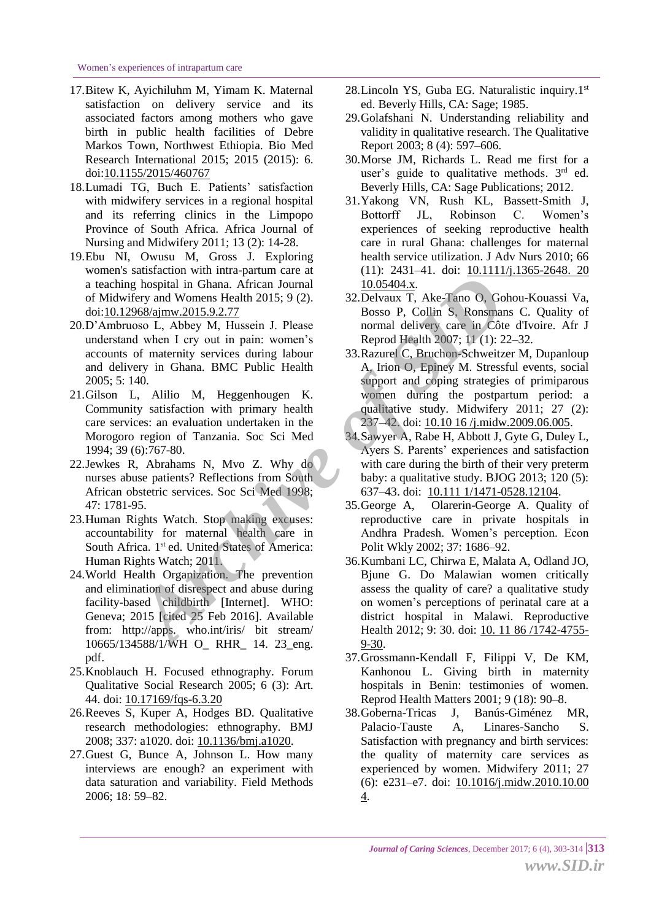- 17.Bitew K, Ayichiluhm M, Yimam K. Maternal satisfaction on delivery service and its associated factors among mothers who gave birth in public health facilities of Debre Markos Town, Northwest Ethiopia. Bio Med Research International 2015; 2015 (2015): 6. doi[:10.1155/2015/460767](http://dox.doi.org/10.1155/2015/460767)
- 18.Lumadi TG, Buch E. Patients' satisfaction with midwifery services in a regional hospital and its referring clinics in the Limpopo Province of South Africa. Africa Journal of Nursing and Midwifery 2011; 13 (2): 14-28.
- 19.Ebu NI, Owusu M, Gross J. Exploring women's satisfaction with intra-partum care at a teaching hospital in Ghana. African Journal of Midwifery and Womens Health 2015; 9 (2). doi[:10.12968/ajmw.2015.9.2.77](http://dox.doi.org/10.12968/ajmw.2015.9.2.77)
- 20.D'Ambruoso L, Abbey M, Hussein J. Please understand when I cry out in pain: women's accounts of maternity services during labour and delivery in Ghana. BMC Public Health 2005; 5: 140.
- 21.Gilson L, Alilio M, Heggenhougen K. Community satisfaction with primary health care services: an evaluation undertaken in the Morogoro region of Tanzania. Soc Sci Med 1994; 39 (6):767-80.
- 22.Jewkes R, Abrahams N, Mvo Z. Why do nurses abuse patients? Reflections from South African obstetric services. Soc Sci Med 1998; 47: 1781-95.
- 23.Human Rights Watch. Stop making excuses: accountability for maternal health care in South Africa. 1<sup>st</sup> ed. United States of America: Human Rights Watch; 2011.
- 24.World Health Organization. The prevention and elimination of disrespect and abuse during facility-based childbirth [Internet]. WHO: Geneva; 2015 [cited 25 Feb 2016]. Available from: http://apps. who.int/iris/ bit stream/ 10665/134588/1/WH O\_ RHR\_ 14. 23\_eng. pdf.
- 25.Knoblauch H. Focused ethnography. Forum Qualitative Social Research 2005; 6 (3): Art. 44. doi: [10.17169/fqs-6.3.20](http://dox.doi.org/10.17169/fqs-6.3.20)
- 26.Reeves S, Kuper A, Hodges BD. Qualitative research methodologies: ethnography. BMJ 2008; 337: a1020. doi: [10.1136/bmj.a1020.](http://dox.doi.org/10.1136/bmj.a1020)
- 27.Guest G, Bunce A, Johnson L. How many interviews are enough? an experiment with data saturation and variability. Field Methods 2006; 18: 59–82.
- 28. Lincoln YS, Guba EG. Naturalistic inquiry.1st ed. Beverly Hills, CA: Sage; 1985.
- 29.Golafshani N. Understanding reliability and validity in qualitative research. The Qualitative Report 2003; 8 (4): 597–606.
- 30.Morse JM, Richards L. Read me first for a user's guide to qualitative methods.  $3<sup>rd</sup>$  ed. Beverly Hills, CA: Sage Publications; 2012.
- 31.Yakong VN, Rush KL, Bassett-Smith J, Bottorff JL, Robinson C. Women's experiences of seeking reproductive health care in rural Ghana: challenges for maternal health service utilization. J Adv Nurs 2010; 66 (11): 2431–41. doi: [10.1111/j.1365-2648.](http://dox.doi.org/10.1111/j.1365-2648.2010.05404.x) 20 10.05404.x.
- 32.Delvaux T, Ake-Tano O, Gohou-Kouassi Va, Bosso P, Collin S, Ronsmans C. Quality of normal delivery care in Côte d'Ivoire. Afr J Reprod Health 2007; 11 (1): 22–32.
- 33.Razurel C, Bruchon-Schweitzer M, Dupanloup A, Irion O, Epiney M. Stressful events, social support and coping strategies of primiparous women during the postpartum period: a qualitative study. Midwifery 2011; 27 (2): 237–42. doi: 10.10 16 [/j.midw.2009.06.005.](http://dox.doi.org/10.1016/j.midw.2009.06.005)
- 34.Sawyer A, Rabe H, Abbott J, Gyte G, Duley L, Ayers S. Parents' experiences and satisfaction with care during the birth of their very preterm baby: a qualitative study. BJOG 2013; 120 (5): 637–43. doi: 10.111 [1/1471-0528.12104.](http://dox.doi.org/10.1111/1471-0528.12104)
- 35.George A, Olarerin-George A. Quality of reproductive care in private hospitals in Andhra Pradesh. Women's perception. Econ Polit Wkly 2002; 37: 1686–92.
- 36.Kumbani LC, Chirwa E, Malata A, Odland JO, Bjune G. Do Malawian women critically assess the quality of care? a qualitative study on women's perceptions of perinatal care at a district hospital in Malawi. Reproductive Health 2012; 9: 30. doi: 10. 11 86 [/1742-4755-](http://dox.doi.org/10.1186/1742-4755-9-30) 9-30. *Archive Singuy 2015.9.21*<br> *Archive Singuy and Womens Health 2015; 9 (2).* Bospital in Ghana. African Journal<br> *Archive Singuy 2015.9.02.* Bosso P, Collin S, Ronsmann and and the street of more of materix seeding labour<br>
	- 37.Grossmann-Kendall F, Filippi V, De KM, Kanhonou L. Giving birth in maternity hospitals in Benin: testimonies of women. Reprod Health Matters 2001; 9 (18): 90–8.
	- 38.Goberna-Tricas J, Banús-Giménez MR, Palacio-Tauste A, Linares-Sancho S. Satisfaction with pregnancy and birth services: the quality of maternity care services as experienced by women. Midwifery 2011; 27 (6): e231–e7. doi: [10.1016/j.midw.2010.10.00](http://dox.doi.org/10.1016/j.midw.2010.10.004) [4.](http://dox.doi.org/10.1016/j.midw.2010.10.004)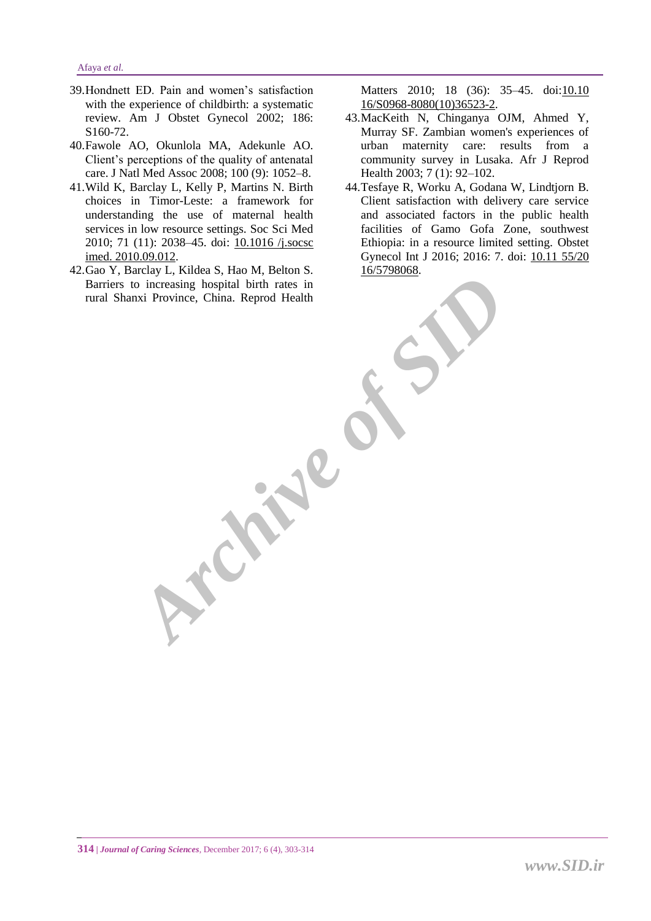- 39.Hondnett ED. Pain and women's satisfaction with the experience of childbirth: a systematic review. Am J Obstet Gynecol 2002; 186: S160-72.
- 40.Fawole AO, Okunlola MA, Adekunle AO. Client's perceptions of the quality of antenatal care. J Natl Med Assoc 2008; 100 (9): 1052–8.
- 41.Wild K, Barclay L, Kelly P, Martins N. Birth choices in Timor-Leste: a framework for understanding the use of maternal health services in low resource settings. Soc Sci Med 2010; 71 (11): 2038–45. doi: [10.1016](http://dox.doi.org/10.1016/j.socscimed.2010.09.012) /j.socsc imed. [2010.09.012.](http://dox.doi.org/10.1016/j.socscimed.2010.09.012)
- 42.Gao Y, Barclay L, Kildea S, Hao M, Belton S. Barriers to increasing hospital birth rates in rural Shanxi Province, China. Reprod Health

**Property R** 

Matters 2010; 18 (36): 35–45. doi[:10.10](http://dox.doi.org/10.1016/S0968-8080(10)36523-2) [16/S0968-8080\(10\)36523-2.](http://dox.doi.org/10.1016/S0968-8080(10)36523-2)

- 43.MacKeith N, Chinganya OJM, Ahmed Y, Murray SF. Zambian women's experiences of urban maternity care: results from a community survey in Lusaka. Afr J Reprod Health 2003; 7 (1): 92–102.
- 44.Tesfaye R, Worku A, Godana W, Lindtjorn B. Client satisfaction with delivery care service and associated factors in the public health facilities of Gamo Gofa Zone, southwest Ethiopia: in a resource limited setting. Obstet Gynecol Int J 2016; 2016: 7. doi: [10.11](http://dox.doi.org/10.1155/2016/5798068) 55/20 [16/5798068.](http://dox.doi.org/10.1155/2016/5798068)